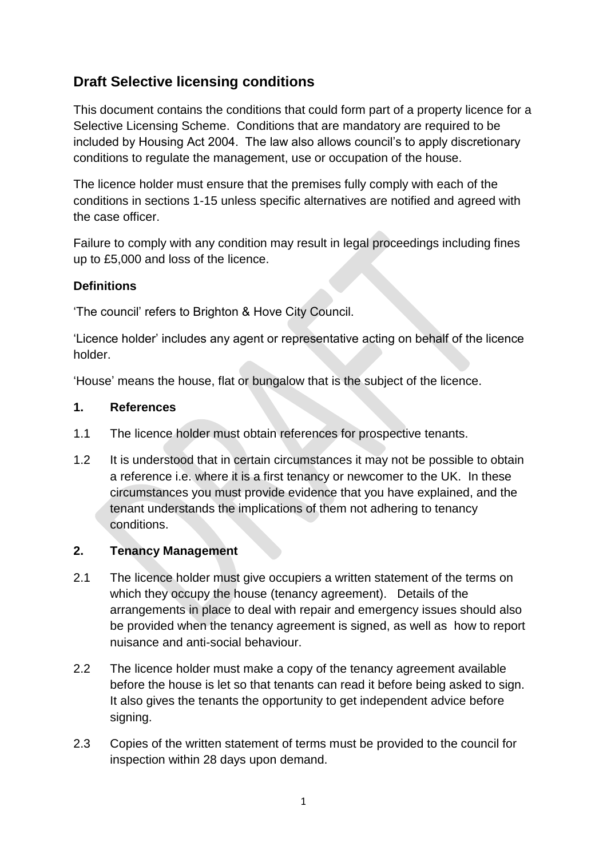# **Draft Selective licensing conditions**

This document contains the conditions that could form part of a property licence for a Selective Licensing Scheme. Conditions that are mandatory are required to be included by Housing Act 2004. The law also allows council's to apply discretionary conditions to regulate the management, use or occupation of the house.

The licence holder must ensure that the premises fully comply with each of the conditions in sections 1-15 unless specific alternatives are notified and agreed with the case officer.

Failure to comply with any condition may result in legal proceedings including fines up to £5,000 and loss of the licence.

#### **Definitions**

'The council' refers to Brighton & Hove City Council.

'Licence holder' includes any agent or representative acting on behalf of the licence holder.

'House' means the house, flat or bungalow that is the subject of the licence.

#### **1. References**

- 1.1 The licence holder must obtain references for prospective tenants.
- 1.2 It is understood that in certain circumstances it may not be possible to obtain a reference i.e. where it is a first tenancy or newcomer to the UK. In these circumstances you must provide evidence that you have explained, and the tenant understands the implications of them not adhering to tenancy conditions.

#### **2. Tenancy Management**

- 2.1 The licence holder must give occupiers a written statement of the terms on which they occupy the house (tenancy agreement). Details of the arrangements in place to deal with repair and emergency issues should also be provided when the tenancy agreement is signed, as well as how to report nuisance and anti-social behaviour.
- 2.2 The licence holder must make a copy of the tenancy agreement available before the house is let so that tenants can read it before being asked to sign. It also gives the tenants the opportunity to get independent advice before signing.
- 2.3 Copies of the written statement of terms must be provided to the council for inspection within 28 days upon demand.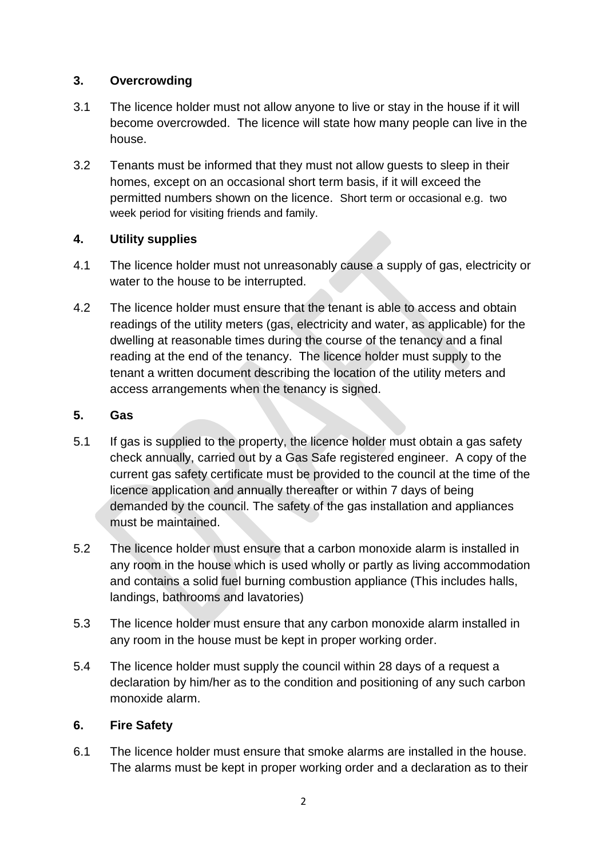### **3. Overcrowding**

- 3.1 The licence holder must not allow anyone to live or stay in the house if it will become overcrowded. The licence will state how many people can live in the house.
- 3.2 Tenants must be informed that they must not allow guests to sleep in their homes, except on an occasional short term basis, if it will exceed the permitted numbers shown on the licence. Short term or occasional e.g. two week period for visiting friends and family.

# **4. Utility supplies**

- 4.1 The licence holder must not unreasonably cause a supply of gas, electricity or water to the house to be interrupted.
- 4.2 The licence holder must ensure that the tenant is able to access and obtain readings of the utility meters (gas, electricity and water, as applicable) for the dwelling at reasonable times during the course of the tenancy and a final reading at the end of the tenancy. The licence holder must supply to the tenant a written document describing the location of the utility meters and access arrangements when the tenancy is signed.

### **5. Gas**

- 5.1 If gas is supplied to the property, the licence holder must obtain a gas safety check annually, carried out by a Gas Safe registered engineer. A copy of the current gas safety certificate must be provided to the council at the time of the licence application and annually thereafter or within 7 days of being demanded by the council. The safety of the gas installation and appliances must be maintained.
- 5.2 The licence holder must ensure that a carbon monoxide alarm is installed in any room in the house which is used wholly or partly as living accommodation and contains a solid fuel burning combustion appliance (This includes halls, landings, bathrooms and lavatories)
- 5.3 The licence holder must ensure that any carbon monoxide alarm installed in any room in the house must be kept in proper working order.
- 5.4 The licence holder must supply the council within 28 days of a request a declaration by him/her as to the condition and positioning of any such carbon monoxide alarm.

#### **6. Fire Safety**

6.1 The licence holder must ensure that smoke alarms are installed in the house. The alarms must be kept in proper working order and a declaration as to their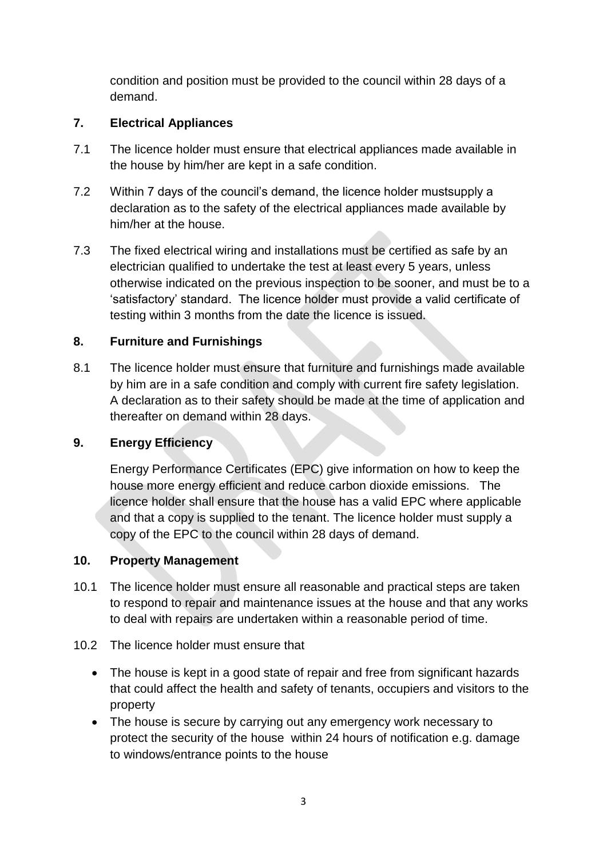condition and position must be provided to the council within 28 days of a demand.

# **7. Electrical Appliances**

- 7.1 The licence holder must ensure that electrical appliances made available in the house by him/her are kept in a safe condition.
- 7.2 Within 7 days of the council's demand, the licence holder mustsupply a declaration as to the safety of the electrical appliances made available by him/her at the house.
- 7.3 The fixed electrical wiring and installations must be certified as safe by an electrician qualified to undertake the test at least every 5 years, unless otherwise indicated on the previous inspection to be sooner, and must be to a 'satisfactory' standard. The licence holder must provide a valid certificate of testing within 3 months from the date the licence is issued.

# **8. Furniture and Furnishings**

8.1 The licence holder must ensure that furniture and furnishings made available by him are in a safe condition and comply with current fire safety legislation. A declaration as to their safety should be made at the time of application and thereafter on demand within 28 days.

# **9. Energy Efficiency**

Energy Performance Certificates (EPC) give information on how to keep the house more energy efficient and reduce carbon dioxide emissions. The licence holder shall ensure that the house has a valid EPC where applicable and that a copy is supplied to the tenant. The licence holder must supply a copy of the EPC to the council within 28 days of demand.

# **10. Property Management**

- 10.1 The licence holder must ensure all reasonable and practical steps are taken to respond to repair and maintenance issues at the house and that any works to deal with repairs are undertaken within a reasonable period of time.
- 10.2 The licence holder must ensure that
	- The house is kept in a good state of repair and free from significant hazards that could affect the health and safety of tenants, occupiers and visitors to the property
	- The house is secure by carrying out any emergency work necessary to protect the security of the house within 24 hours of notification e.g. damage to windows/entrance points to the house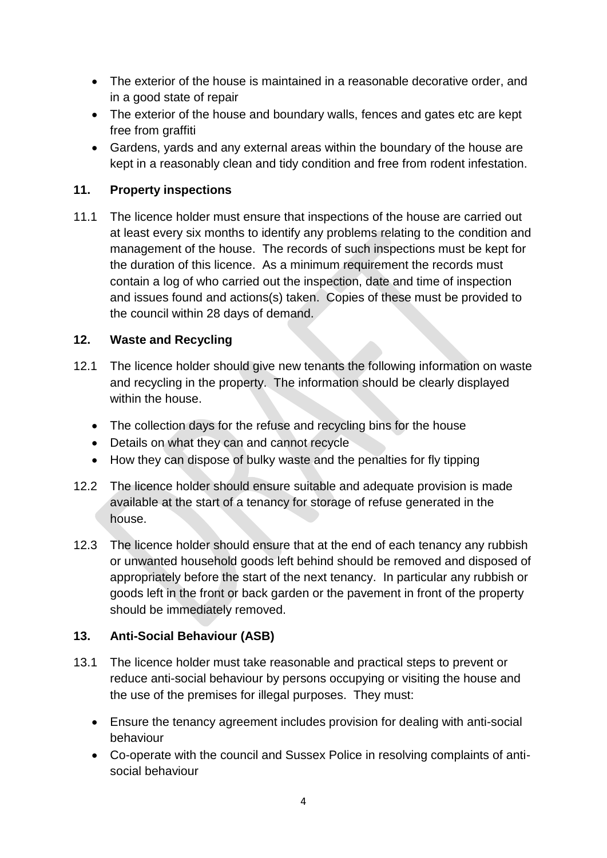- The exterior of the house is maintained in a reasonable decorative order, and in a good state of repair
- The exterior of the house and boundary walls, fences and gates etc are kept free from graffiti
- Gardens, yards and any external areas within the boundary of the house are kept in a reasonably clean and tidy condition and free from rodent infestation.

### **11. Property inspections**

11.1 The licence holder must ensure that inspections of the house are carried out at least every six months to identify any problems relating to the condition and management of the house. The records of such inspections must be kept for the duration of this licence. As a minimum requirement the records must contain a log of who carried out the inspection, date and time of inspection and issues found and actions(s) taken. Copies of these must be provided to the council within 28 days of demand.

#### **12. Waste and Recycling**

- 12.1 The licence holder should give new tenants the following information on waste and recycling in the property. The information should be clearly displayed within the house.
	- The collection days for the refuse and recycling bins for the house
	- Details on what they can and cannot recycle
	- How they can dispose of bulky waste and the penalties for fly tipping
- 12.2 The licence holder should ensure suitable and adequate provision is made available at the start of a tenancy for storage of refuse generated in the house.
- 12.3 The licence holder should ensure that at the end of each tenancy any rubbish or unwanted household goods left behind should be removed and disposed of appropriately before the start of the next tenancy. In particular any rubbish or goods left in the front or back garden or the pavement in front of the property should be immediately removed.

# **13. Anti-Social Behaviour (ASB)**

- 13.1 The licence holder must take reasonable and practical steps to prevent or reduce anti-social behaviour by persons occupying or visiting the house and the use of the premises for illegal purposes. They must:
	- Ensure the tenancy agreement includes provision for dealing with anti-social behaviour
	- Co-operate with the council and Sussex Police in resolving complaints of antisocial behaviour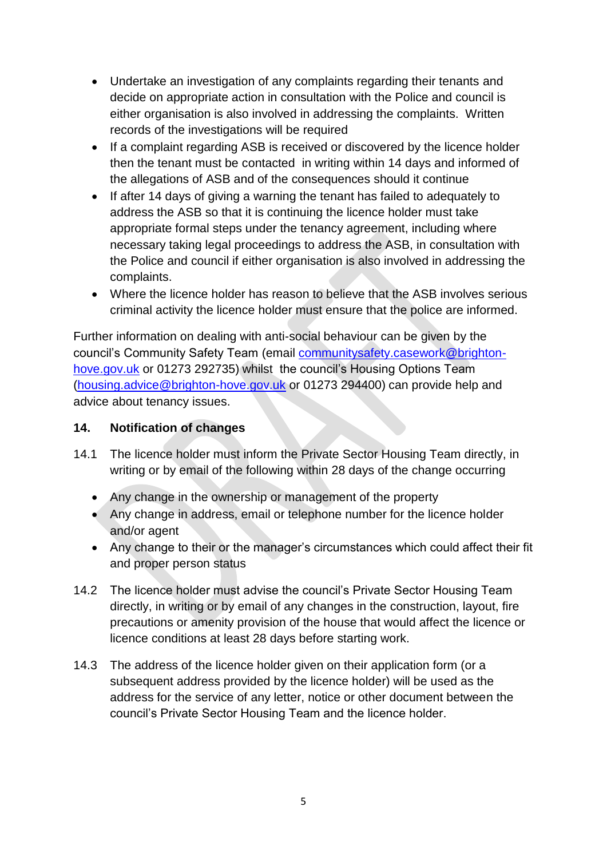- Undertake an investigation of any complaints regarding their tenants and decide on appropriate action in consultation with the Police and council is either organisation is also involved in addressing the complaints. Written records of the investigations will be required
- If a complaint regarding ASB is received or discovered by the licence holder then the tenant must be contacted in writing within 14 days and informed of the allegations of ASB and of the consequences should it continue
- If after 14 days of giving a warning the tenant has failed to adequately to address the ASB so that it is continuing the licence holder must take appropriate formal steps under the tenancy agreement, including where necessary taking legal proceedings to address the ASB, in consultation with the Police and council if either organisation is also involved in addressing the complaints.
- Where the licence holder has reason to believe that the ASB involves serious criminal activity the licence holder must ensure that the police are informed.

Further information on dealing with anti-social behaviour can be given by the council's Community Safety Team (email [communitysafety.casework@brighton](mailto:communitysafety.casework@brighton-hove.gov.uk)[hove.gov.uk](mailto:communitysafety.casework@brighton-hove.gov.uk) or 01273 292735) whilst the council's Housing Options Team [\(housing.advice@brighton-hove.gov.uk](mailto:housing.advice@brighton-hove.gov.uk) or 01273 294400) can provide help and advice about tenancy issues.

#### **14. Notification of changes**

- 14.1 The licence holder must inform the Private Sector Housing Team directly, in writing or by email of the following within 28 days of the change occurring
	- Any change in the ownership or management of the property
	- Any change in address, email or telephone number for the licence holder and/or agent
	- Any change to their or the manager's circumstances which could affect their fit and proper person status
- 14.2 The licence holder must advise the council's Private Sector Housing Team directly, in writing or by email of any changes in the construction, layout, fire precautions or amenity provision of the house that would affect the licence or licence conditions at least 28 days before starting work.
- 14.3 The address of the licence holder given on their application form (or a subsequent address provided by the licence holder) will be used as the address for the service of any letter, notice or other document between the council's Private Sector Housing Team and the licence holder.